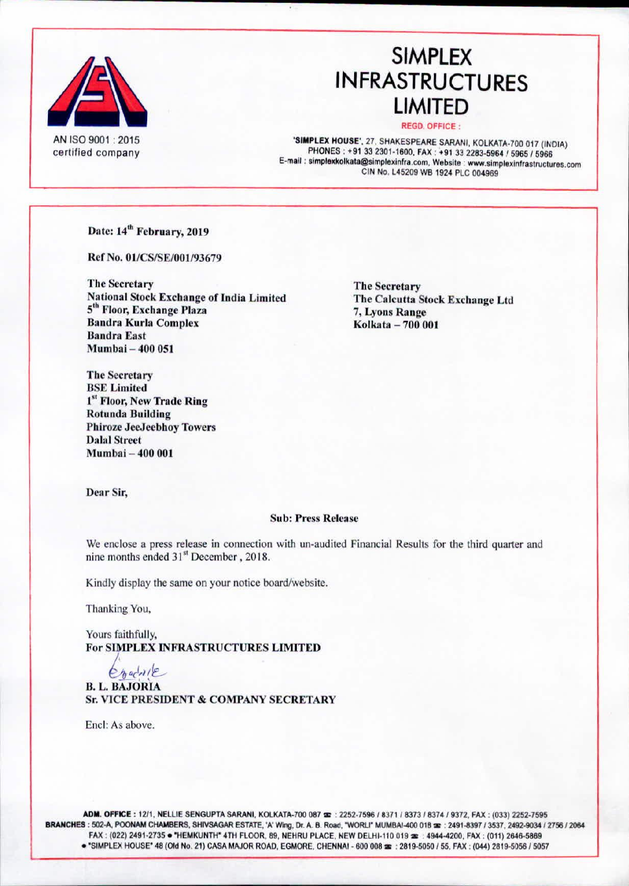

# **SIMPLEX INFRASTRUCTURES LIMITED**

#### **REGD. OFFICE:**

SIMPLEX HOUSE', 27, SHAKESPEARE SARANI, KOLKATA-700 017 (INDIA) PHONES: +91 33 2301-1600, FAX: +91 33 2283-5964 / 5965 / 5966 E-mail: simplexkolkata@simplexinfra.com, Website: www.simplexinfrastructures.com CIN No. L45209 WB 1924 PLC 004969

Date: 14<sup>th</sup> February, 2019

Ref No. 01/CS/SE/001/93679

**The Secretary National Stock Exchange of India Limited** 5<sup>th</sup> Floor, Exchange Plaza **Bandra Kurla Complex Bandra East** Mumbai - 400 051

**The Secretary** The Calcutta Stock Exchange Ltd 7, Lyons Range Kolkata - 700 001

**The Secretary BSE Limited** 1st Floor, New Trade Ring **Rotunda Building Phiroze JeeJeebhoy Towers Dalal Street** Mumbai - 400 001

Dear Sir,

### **Sub: Press Release**

We enclose a press release in connection with un-audited Financial Results for the third quarter and nine months ended 31<sup>st</sup> December, 2018.

Kindly display the same on your notice board/website.

Thanking You,

Yours faithfully, For SIMPLEX INFRASTRUCTURES LIMITED

Chacole **B. L. BAJORIA Sr. VICE PRESIDENT & COMPANY SECRETARY** 

Encl: As above.

ADM. OFFICE: 12/1, NELLIE SENGUPTA SARANI, KOLKATA-700 087 =: 2252-7596 / 8371 / 8373 / 8374 / 9372, FAX: (033) 2252-7595 BRANCHES : 502-A, POONAM CHAMBERS, SHIVSAGAR ESTATE, 'A' Wing, Dr. A. B. Road, "WORLI" MUMBAI-400 018 as: 2491-8397 / 3537, 2492-9034 / 2756 / 2064 FAX: (022) 2491-2735 · "HEMKUNTH" 4TH FLOOR, 89, NEHRU PLACE, NEW DELHI-110 019 =: 4944-4200, FAX: (011) 2646-5869 . "SIMPLEX HOUSE" 48 (Old No. 21) CASA MAJOR ROAD, EGMORE, CHENNAI - 600 008 22 : 2819-5050 / 55, FAX : (044) 2819-5056 / 5057